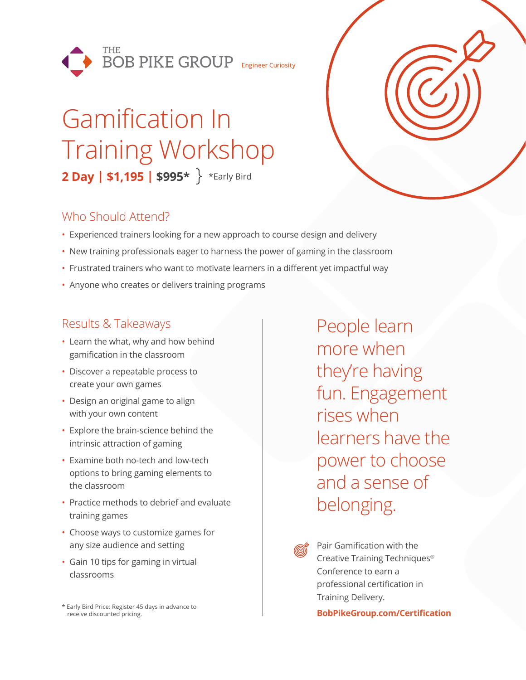

# Gamification In Training Workshop **2 Day | \$1,195 | \$995\*** \*Early Bird

## Who Should Attend?

- Experienced trainers looking for a new approach to course design and delivery
- New training professionals eager to harness the power of gaming in the classroom
- Frustrated trainers who want to motivate learners in a different yet impactful way
- Anyone who creates or delivers training programs

## Results & Takeaways

- Learn the what, why and how behind gamification in the classroom
- Discover a repeatable process to create your own games
- Design an original game to align with your own content
- Explore the brain-science behind the intrinsic attraction of gaming
- Examine both no-tech and low-tech options to bring gaming elements to the classroom
- Practice methods to debrief and evaluate training games
- Choose ways to customize games for any size audience and setting
- Gain 10 tips for gaming in virtual classrooms

\* Early Bird Price: Register 45 days in advance to receive discounted pricing.

People learn more when they're having fun. Engagement rises when learners have the power to choose and a sense of belonging.



Pair Gamification with the Creative Training Techniques® Conference to earn a professional certification in Training Delivery.

**BobPikeGroup.com/Certification**